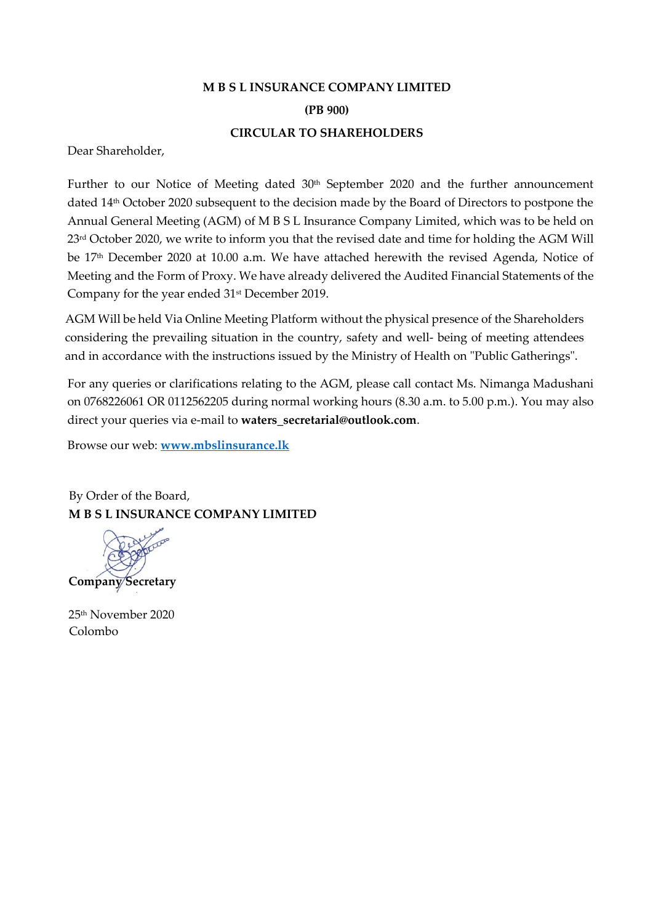# **M B S L INSURANCE COMPANY LIMITED (PB 900) CIRCULAR TO SHAREHOLDERS**

Dear Shareholder,

Further to our Notice of Meeting dated 30<sup>th</sup> September 2020 and the further announcement dated 14th October 2020 subsequent to the decision made by the Board of Directors to postpone the Annual General Meeting (AGM) of M B S L Insurance Company Limited, which was to be held on 23<sup>rd</sup> October 2020, we write to inform you that the revised date and time for holding the AGM Will be 17<sup>th</sup> December 2020 at 10.00 a.m. We have attached herewith the revised Agenda, Notice of Meeting and the Form of Proxy. We have already delivered the Audited Financial Statements of the Company for the year ended  $31<sup>st</sup>$  December 2019.

AGM Will be held Via Online Meeting Platform without the physical presence of the Shareholders considering the prevailing situation in the country, safety and well- being of meeting attendees and in accordance with the instructions issued by the Ministry of Health on "Public Gatherings".

For any queries or clarifications relating to the AGM, please call contact Ms. Nimanga Madushani on 0768226061 OR 0112562205 during normal working hours (8.30 a.m. to 5.00 p.m.). You may also direct your queries via e-mail to **waters\_secretarial@outlook.com**.

Browse our web: **[www.mbslinsurance.lk](http://www.mbslinsurance.lk/)**

By Order of the Board, **M B S L INSURANCE COMPANY LIMITED** 

**Company Secretary**

25th November 2020 Colombo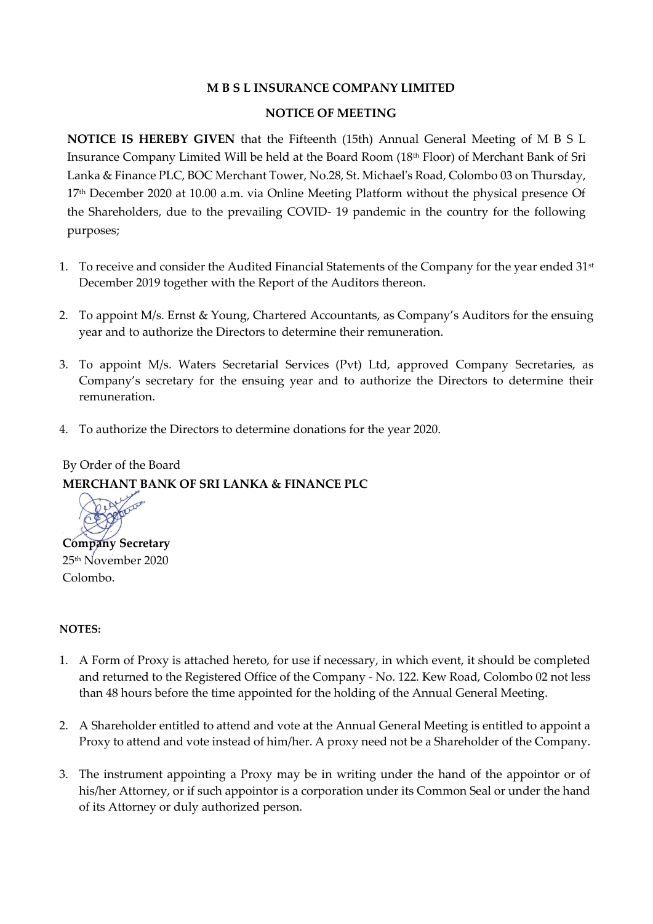# **M B S L INSURANCE COMPANY LIMITED**

#### **NOTICE OF MEETING**

**NOTICE IS HEREBY GIVEN** that the Fifteenth (15th) Annual General Meeting of M B S L Insurance Company Limited Will be held at the Board Room (18th Floor) of Merchant Bank of Sri Lanka & Finance PLC, BOC Merchant Tower, No.28, St. Michael's Road, Colombo 03 on Thursday, 17 th December 2020 at 10.00 a.m. via Online Meeting Platform without the physical presence Of the Shareholders, due to the prevailing COVID- 19 pandemic in the country for the following purposes;

- 1. To receive and consider the Audited Financial Statements of the Company for the year ended 31<sup>st</sup> December 2019 together with the Report of the Auditors thereon.
- 2. To appoint M/s. Ernst & Young, Chartered Accountants, as Company's Auditors for the ensuing year and to authorize the Directors to determine their remuneration.
- 3. To appoint M/s. Waters Secretarial Services (Pvt) Ltd, approved Company Secretaries, as Company's secretary for the ensuing year and to authorize the Directors to determine their remuneration.
- 4. To authorize the Directors to determine donations for the year 2020.

# By Order of the Board **MERCHANT BANK OF SRI LANKA & FINANCE PLC**



#### **NOTES:**

- 1. A Form of Proxy is attached hereto, for use if necessary, in which event, it should be completed and returned to the Registered Office of the Company - No. 122. Kew Road, Colombo 02 not less than 48 hours before the time appointed for the holding of the Annual General Meeting.
- 2. A Shareholder entitled to attend and vote at the Annual General Meeting is entitled to appoint a Proxy to attend and vote instead of him/her. A proxy need not be a Shareholder of the Company.
- 3. The instrument appointing a Proxy may be in writing under the hand of the appointor or of his/her Attorney, or if such appointor is a corporation under its Common Seal or under the hand of its Attorney or duly authorized person.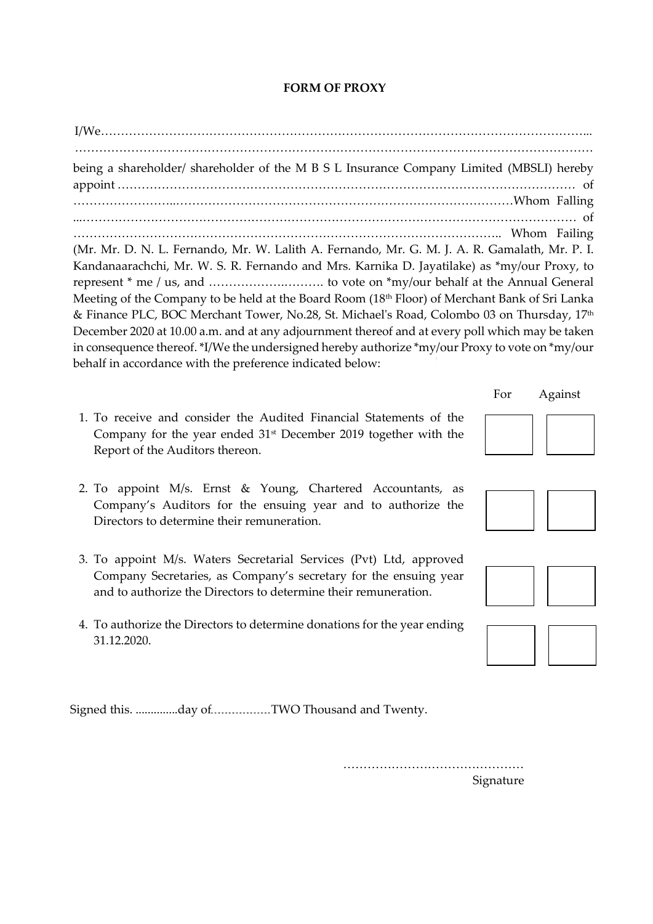# **FORM OF PROXY**

I/We…………………………………………………………………………………………………………... ………………………………………………………………………………………………………………… being a shareholder/ shareholder of the M B S L Insurance Company Limited (MBSLI) hereby appoint …………………………………………………………………………………………………… of ……………………..…………………………………………………………………………Whom Falling ...…………………………………………………………………………………………………………… of …………………………………………………………………………………………….. Whom Failing (Mr. Mr. D. N. L. Fernando, Mr. W. Lalith A. Fernando, Mr. G. M. J. A. R. Gamalath, Mr. P. I. Kandanaarachchi, Mr. W. S. R. Fernando and Mrs. Karnika D. Jayatilake) as \*my/our Proxy, to represent \* me / us, and ……………….………. to vote on \*my/our behalf at the Annual General Meeting of the Company to be held at the Board Room (18th Floor) of Merchant Bank of Sri Lanka & Finance PLC, BOC Merchant Tower, No.28, St. Michael's Road, Colombo 03 on Thursday, 17th December 2020 at 10.00 a.m. and at any adjournment thereof and at every poll which may be taken in consequence thereof. \*I/We the undersigned hereby authorize \*my/our Proxy to vote on \*my/our behalf in accordance with the preference indicated below:

- 1. To receive and consider the Audited Financial Statements of the Company for the year ended  $31<sup>st</sup>$  December 2019 together with the Report of the Auditors thereon.
- 2. To appoint M/s. Ernst & Young, Chartered Accountants, as Company's Auditors for the ensuing year and to authorize the Directors to determine their remuneration.
- 3. To appoint M/s. Waters Secretarial Services (Pvt) Ltd, approved Company Secretaries, as Company's secretary for the ensuing year and to authorize the Directors to determine their remuneration.
- 4. To authorize the Directors to determine donations for the year ending 31.12.2020.

Signed this. ................day of TWO Thousand and Twenty.

……………………………………… Signature



For Against